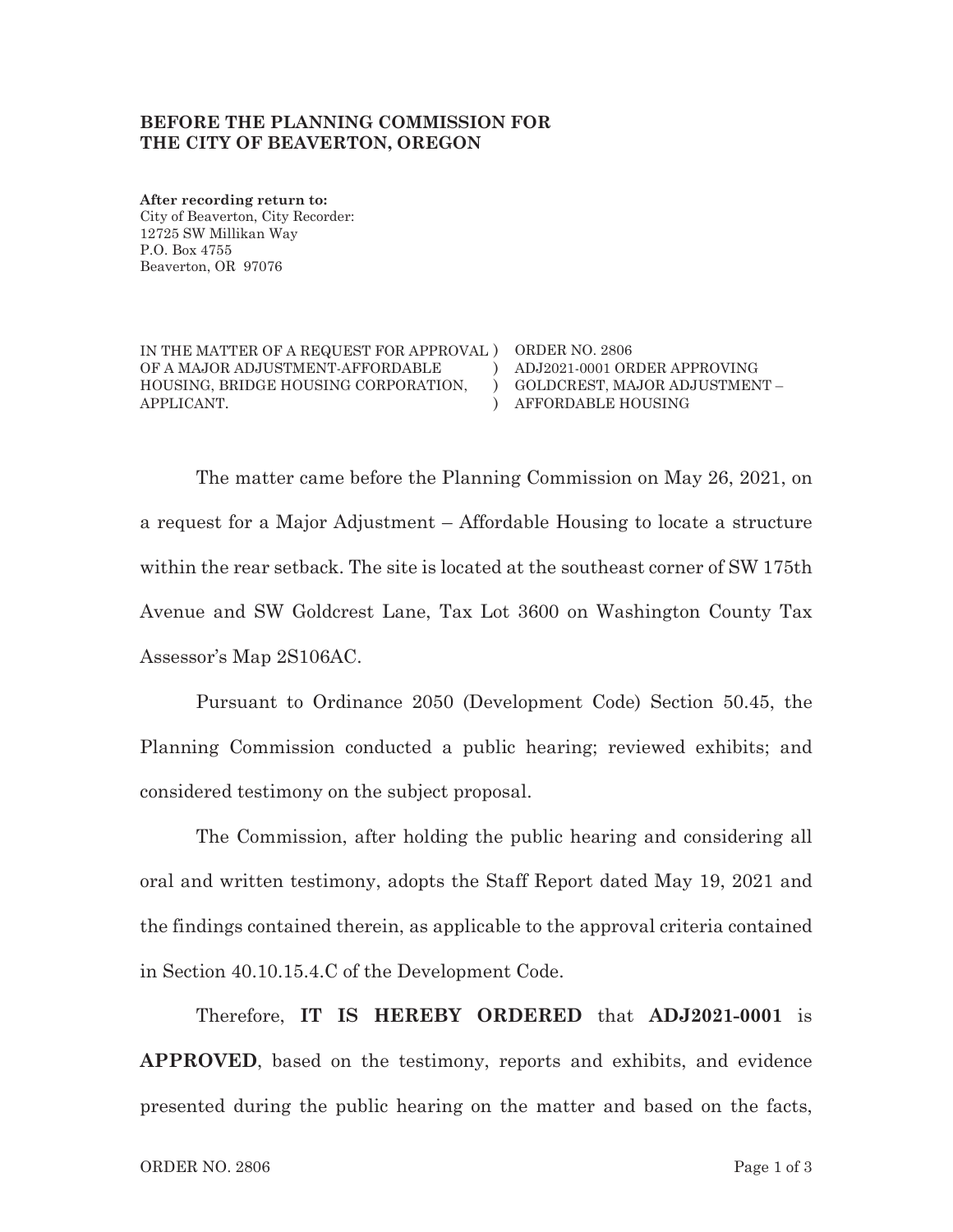## BEFORE THE PLANNING COMMISSION FOR THE CITY OF BEAVERTON, OREGON

After recording return to: City of Beaverton, City Recorder: 12725 SW Millikan Way P.O. Box 4755 Beaverton, OR 97076

IN THE MATTER OF A REQUEST FOR APPROVAL ) ORDER NO. 2806 OF A MAJOR ADJUSTMENT-AFFORDABLE HOUSING, BRIDGE HOUSING CORPORATION, APPLICANT.

) ADJ2021-0001 ORDER APPROVING ) GOLDCREST, MAJOR ADJUSTMENT -) AFFORDABLE HOUSING

The matter came before the Planning Commission on May 26, 2021, on a request for a Major Adjustment – Affordable Housing to locate a structure within the rear setback. The site is located at the southeast corner of SW 175th Avenue and SW Goldcrest Lane, Tax Lot 3600 on Washington County Tax Assessor's Map 2S106AC.

Pursuant to Ordinance 2050 (Development Code) Section 50.45, the Planning Commission conducted a public hearing; reviewed exhibits; and considered testimony on the subject proposal.

The Commission, after holding the public hearing and considering all oral and written testimony, adopts the Staff Report dated May 19, 2021 and the findings contained therein, as applicable to the approval criteria contained in Section 40.10.15.4.C of the Development Code.

Therefore, IT IS HEREBY ORDERED that ADJ2021-0001 is APPROVED, based on the testimony, reports and exhibits, and evidence presented during the public hearing on the matter and based on the facts,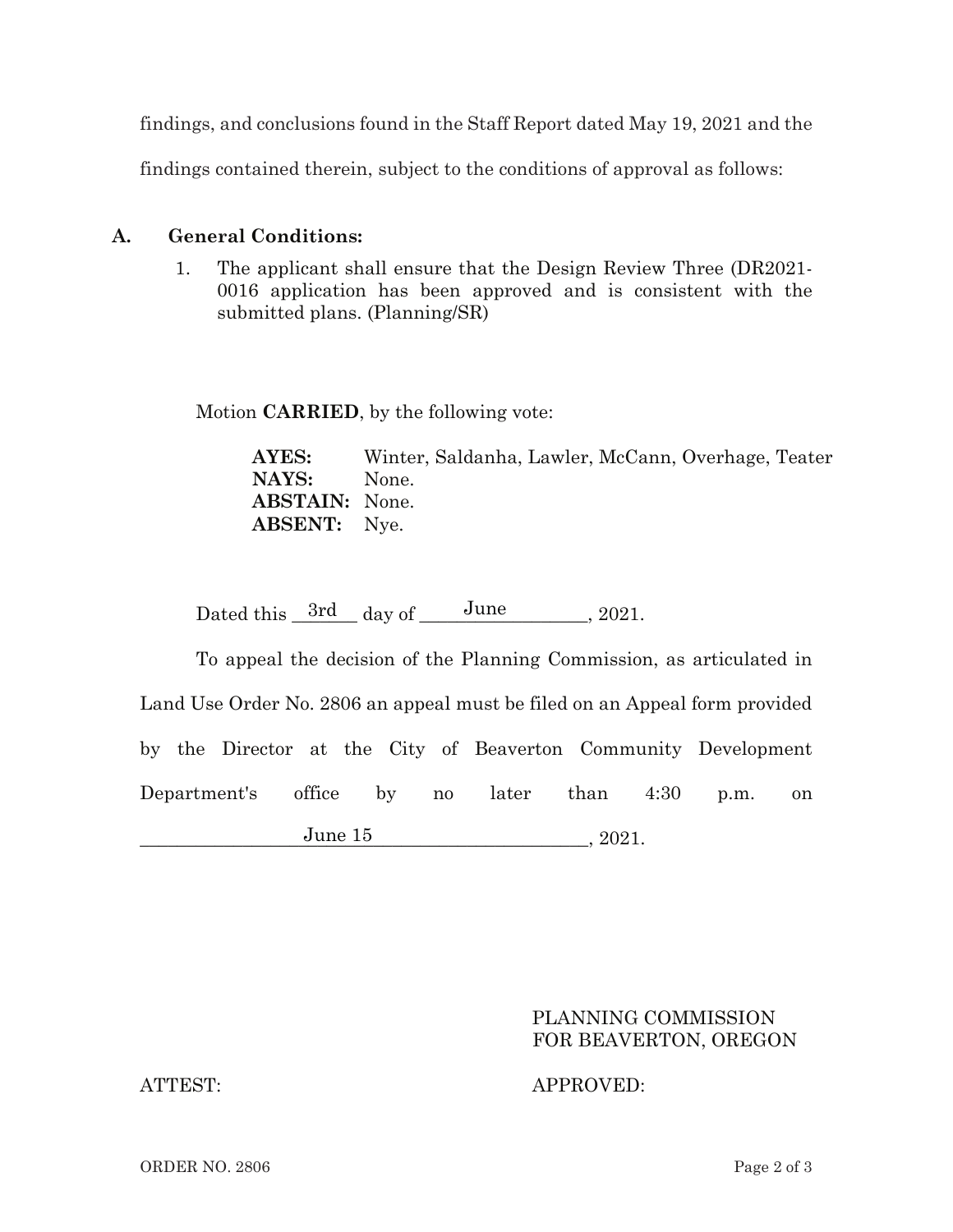findings, and conclusions found in the Staff Report dated May 19, 2021 and the

findings contained therein, subject to the conditions of approval as follows:

## **A.** General Conditions:

 $1<sub>1</sub>$ . The applicant shall ensure that the Design Review Three (DR2021-0016 application has been approved and is consistent with the submitted plans. (Planning/SR)

Motion **CARRIED**, by the following vote:

**AYES:** Winter, Saldanha, Lawler, McCann, Overhage, Teater **NAYS:** None. **ABSTAIN:** None. **ABSENT:** Nye.

Dated this  $3rd$  day of  $\frac{June}{10}$ , 2021.

To appeal the decision of the Planning Commission, as articulated in Land Use Order No. 2806 an appeal must be filed on an Appeal form provided by the Director at the City of Beaverton Community Development Department's s office by no later than 4:30 p.m. on  $J$ une  $15$ , 2021. June 15

## PLANNING COMMISSION FOR BEAVERTON, OREGON

ATTEST: APPROVED: